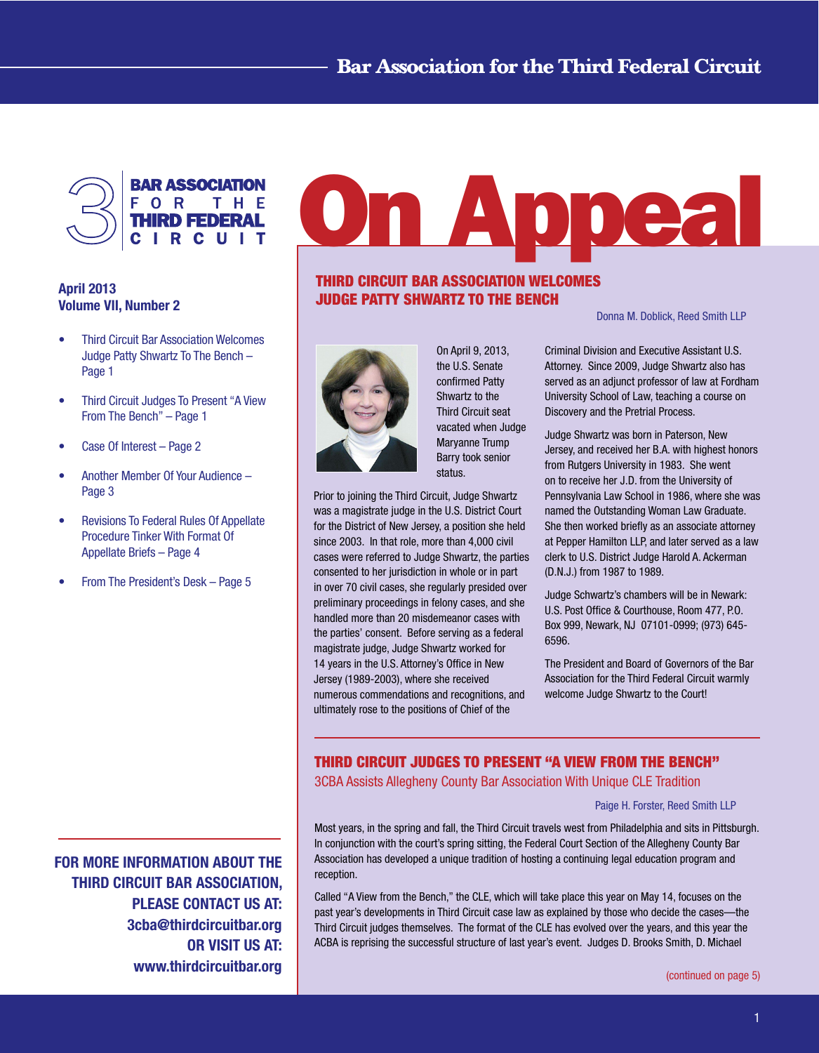

# April 2013 Volume VII, Number 2

- **Third Circuit Bar Association Welcomes** Judge Patty Shwartz To The Bench – Page 1
- • Third Circuit Judges To Present "A View From The Bench" – Page 1
- Case Of Interest Page 2
- Another Member Of Your Audience Page 3
- Revisions To Federal Rules Of Appellate Procedure Tinker With Format Of Appellate Briefs – Page 4
- From The President's Desk Page 5

# n Abbea

# THIRD CIRCUIT BAR ASSOCIATION WELCOMES JUDGE PATTY SHWARTZ TO THE BENCH



On April 9, 2013, the U.S. Senate confirmed Patty Shwartz to the Third Circuit seat vacated when Judge Maryanne Trump Barry took senior status.

Prior to joining the Third Circuit, Judge Shwartz was a magistrate judge in the U.S. District Court for the District of New Jersey, a position she held since 2003. In that role, more than 4,000 civil cases were referred to Judge Shwartz, the parties consented to her jurisdiction in whole or in part in over 70 civil cases, she regularly presided over preliminary proceedings in felony cases, and she handled more than 20 misdemeanor cases with the parties' consent. Before serving as a federal magistrate judge, Judge Shwartz worked for 14 years in the U.S. Attorney's Office in New Jersey (1989-2003), where she received numerous commendations and recognitions, and ultimately rose to the positions of Chief of the

 Donna M. Doblick, Reed Smith LLP

Criminal Division and Executive Assistant U.S. Attorney. Since 2009, Judge Shwartz also has served as an adjunct professor of law at Fordham University School of Law, teaching a course on Discovery and the Pretrial Process.

Judge Shwartz was born in Paterson, New Jersey, and received her B.A. with highest honors from Rutgers University in 1983. She went on to receive her J.D. from the University of Pennsylvania Law School in 1986, where she was named the Outstanding Woman Law Graduate. She then worked briefly as an associate attorney at Pepper Hamilton LLP, and later served as a law clerk to U.S. District Judge Harold A. Ackerman (D.N.J.) from 1987 to 1989.

Judge Schwartz's chambers will be in Newark: U.S. Post Office & Courthouse, Room 477, P.O. Box 999, Newark, NJ 07101-0999; (973) 645- 6596.

The President and Board of Governors of the Bar Association for the Third Federal Circuit warmly welcome Judge Shwartz to the Court!

# THIRD CIRCUIT JUDGES TO PRESENT "A VIEW FROM THE BENCH"

3CBA Assists Allegheny County Bar Association With Unique CLE Tradition

## Paige H. Forster, Reed Smith LLP

Most years, in the spring and fall, the Third Circuit travels west from Philadelphia and sits in Pittsburgh. In conjunction with the court's spring sitting, the Federal Court Section of the Allegheny County Bar Association has developed a unique tradition of hosting a continuing legal education program and reception.

Called "A View from the Bench," the CLE, which will take place this year on May 14, focuses on the past year's developments in Third Circuit case law as explained by those who decide the cases—the Third Circuit judges themselves. The format of the CLE has evolved over the years, and this year the ACBA is reprising the successful structure of last year's event. Judges D. Brooks Smith, D. Michael

FOR MORE INFORMATION ABOUT THE THIRD CIRCUIT BAR ASSOCIATION, PLEASE CONTACT US AT: 3cba@thirdcircuitbar.org OR VISIT US AT: www.thirdcircuitbar.org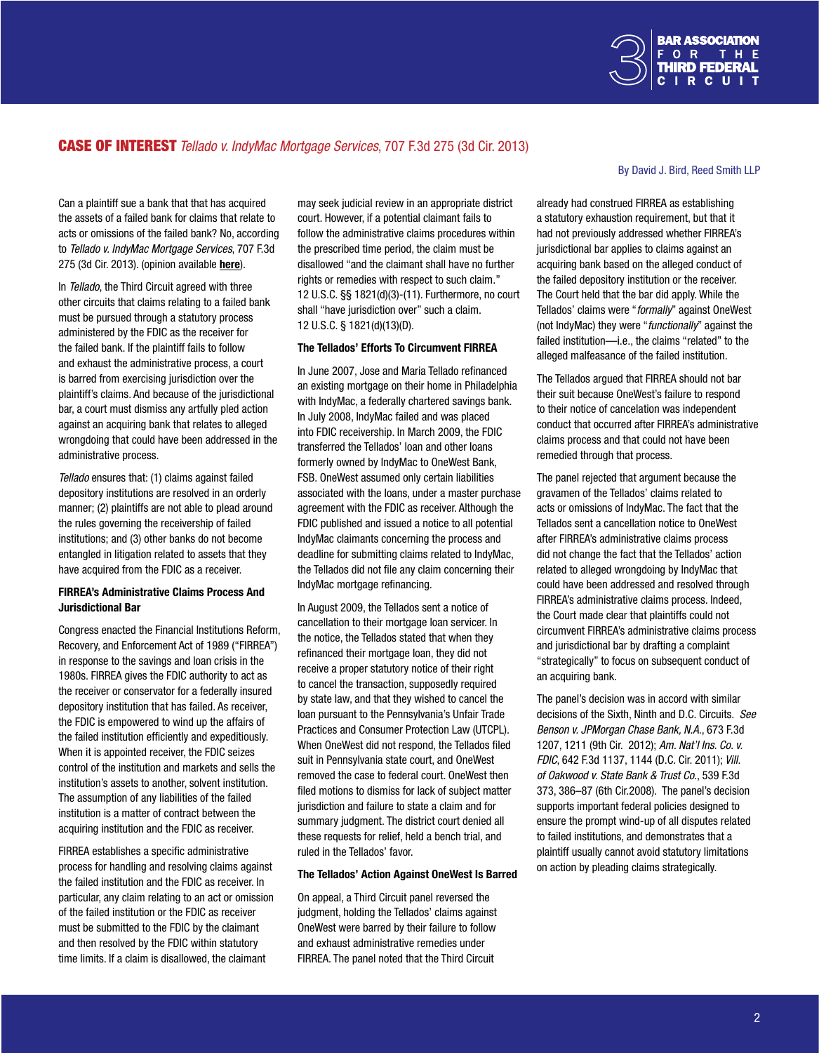

# CASE OF INTEREST *Tellado v. IndyMac Mortgage Services*, 707 F.3d 275 (3d Cir. 2013)

Can a plaintiff sue a bank that that has acquired the assets of a failed bank for claims that relate to acts or omissions of the failed bank? No, according to *Tellado v. IndyMac Mortgage Services*, 707 F.3d 275 (3d Cir. 2013). (opinion available [here](http://www.ca3.uscourts.gov/opinarch/112708p.pdf)).

In *Tellado*, the Third Circuit agreed with three other circuits that claims relating to a failed bank must be pursued through a statutory process administered by the FDIC as the receiver for the failed bank. If the plaintiff fails to follow and exhaust the administrative process, a court is barred from exercising jurisdiction over the plaintiff's claims. And because of the jurisdictional bar, a court must dismiss any artfully pled action against an acquiring bank that relates to alleged wrongdoing that could have been addressed in the administrative process.

*Tellado* ensures that: (1) claims against failed depository institutions are resolved in an orderly manner; (2) plaintiffs are not able to plead around the rules governing the receivership of failed institutions; and (3) other banks do not become entangled in litigation related to assets that they have acquired from the FDIC as a receiver.

#### FIRREA's Administrative Claims Process And Jurisdictional Bar

Congress enacted the Financial Institutions Reform, Recovery, and Enforcement Act of 1989 ("FIRREA") in response to the savings and loan crisis in the 1980s. FIRREA gives the FDIC authority to act as the receiver or conservator for a federally insured depository institution that has failed. As receiver, the FDIC is empowered to wind up the affairs of the failed institution efficiently and expeditiously. When it is appointed receiver, the FDIC seizes control of the institution and markets and sells the institution's assets to another, solvent institution. The assumption of any liabilities of the failed institution is a matter of contract between the acquiring institution and the FDIC as receiver.

FIRREA establishes a specific administrative process for handling and resolving claims against the failed institution and the FDIC as receiver. In particular, any claim relating to an act or omission of the failed institution or the FDIC as receiver must be submitted to the FDIC by the claimant and then resolved by the FDIC within statutory time limits. If a claim is disallowed, the claimant

may seek judicial review in an appropriate district court. However, if a potential claimant fails to follow the administrative claims procedures within the prescribed time period, the claim must be disallowed "and the claimant shall have no further rights or remedies with respect to such claim." 12 U.S.C. §§ 1821(d)(3)-(11). Furthermore, no court shall "have jurisdiction over" such a claim. 12 U.S.C. § 1821(d)(13)(D).

#### The Tellados' Efforts To Circumvent FIRREA

In June 2007, Jose and Maria Tellado refinanced an existing mortgage on their home in Philadelphia with IndyMac, a federally chartered savings bank. In July 2008, IndyMac failed and was placed into FDIC receivership. In March 2009, the FDIC transferred the Tellados' loan and other loans formerly owned by IndyMac to OneWest Bank, FSB. OneWest assumed only certain liabilities associated with the loans, under a master purchase agreement with the FDIC as receiver. Although the FDIC published and issued a notice to all potential IndyMac claimants concerning the process and deadline for submitting claims related to IndyMac, the Tellados did not file any claim concerning their IndyMac mortgage refinancing.

In August 2009, the Tellados sent a notice of cancellation to their mortgage loan servicer. In the notice, the Tellados stated that when they refinanced their mortgage loan, they did not receive a proper statutory notice of their right to cancel the transaction, supposedly required by state law, and that they wished to cancel the loan pursuant to the Pennsylvania's Unfair Trade Practices and Consumer Protection Law (UTCPL). When OneWest did not respond, the Tellados filed suit in Pennsylvania state court, and OneWest removed the case to federal court. OneWest then filed motions to dismiss for lack of subject matter jurisdiction and failure to state a claim and for summary judgment. The district court denied all these requests for relief, held a bench trial, and ruled in the Tellados' favor.

#### The Tellados' Action Against OneWest Is Barred

On appeal, a Third Circuit panel reversed the judgment, holding the Tellados' claims against OneWest were barred by their failure to follow and exhaust administrative remedies under FIRREA. The panel noted that the Third Circuit

#### By David J. Bird, Reed Smith LLP

already had construed FIRREA as establishing a statutory exhaustion requirement, but that it had not previously addressed whether FIRREA's jurisdictional bar applies to claims against an acquiring bank based on the alleged conduct of the failed depository institution or the receiver. The Court held that the bar did apply. While the Tellados' claims were "*formally*" against OneWest (not IndyMac) they were "*functionally*" against the failed institution—i.e., the claims "related" to the alleged malfeasance of the failed institution.

The Tellados argued that FIRREA should not bar their suit because OneWest's failure to respond to their notice of cancelation was independent conduct that occurred after FIRREA's administrative claims process and that could not have been remedied through that process.

The panel rejected that argument because the gravamen of the Tellados' claims related to acts or omissions of IndyMac. The fact that the Tellados sent a cancellation notice to OneWest after FIRREA's administrative claims process did not change the fact that the Tellados' action related to alleged wrongdoing by IndyMac that could have been addressed and resolved through FIRREA's administrative claims process. Indeed, the Court made clear that plaintiffs could not circumvent FIRREA's administrative claims process and jurisdictional bar by drafting a complaint "strategically" to focus on subsequent conduct of an acquiring bank.

The panel's decision was in accord with similar decisions of the Sixth, Ninth and D.C. Circuits. *See Benson v. JPMorgan Chase Bank, N.A*., 673 F.3d 1207, 1211 (9th Cir. 2012); *Am. Nat'l Ins. Co. v. FDIC*, 642 F.3d 1137, 1144 (D.C. Cir. 2011); *Vill. of Oakwood v. State Bank & Trust Co*., 539 F.3d 373, 386–87 (6th Cir.2008). The panel's decision supports important federal policies designed to ensure the prompt wind-up of all disputes related to failed institutions, and demonstrates that a plaintiff usually cannot avoid statutory limitations on action by pleading claims strategically.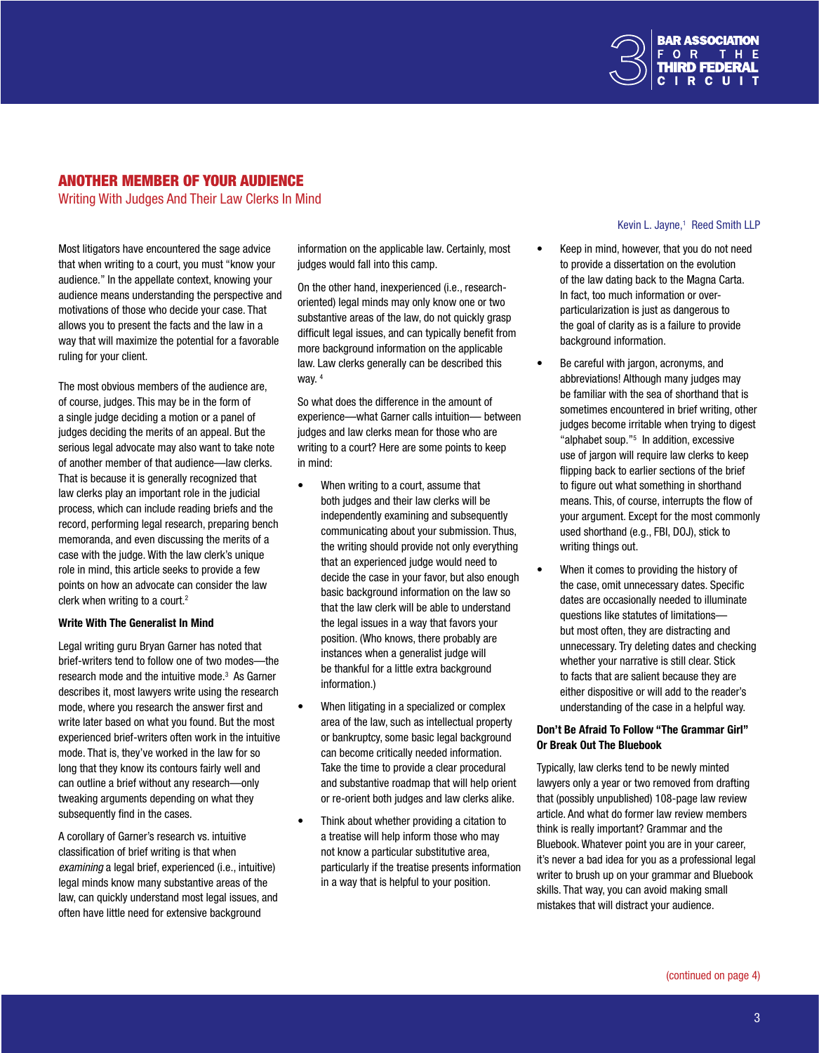

# ANOTHER MEMBER OF YOUR AUDIENCE

Writing With Judges And Their Law Clerks In Mind

Most litigators have encountered the sage advice that when writing to a court, you must "know your audience." In the appellate context, knowing your audience means understanding the perspective and motivations of those who decide your case. That allows you to present the facts and the law in a way that will maximize the potential for a favorable ruling for your client.

The most obvious members of the audience are, of course, judges. This may be in the form of a single judge deciding a motion or a panel of judges deciding the merits of an appeal. But the serious legal advocate may also want to take note of another member of that audience—law clerks. That is because it is generally recognized that law clerks play an important role in the judicial process, which can include reading briefs and the record, performing legal research, preparing bench memoranda, and even discussing the merits of a case with the judge. With the law clerk's unique role in mind, this article seeks to provide a few points on how an advocate can consider the law clerk when writing to a court.<sup>2</sup>

#### Write With The Generalist In Mind

Legal writing guru Bryan Garner has noted that brief-writers tend to follow one of two modes—the research mode and the intuitive mode.<sup>3</sup> As Garner describes it, most lawyers write using the research mode, where you research the answer first and write later based on what you found. But the most experienced brief-writers often work in the intuitive mode. That is, they've worked in the law for so long that they know its contours fairly well and can outline a brief without any research—only tweaking arguments depending on what they subsequently find in the cases.

A corollary of Garner's research vs. intuitive classification of brief writing is that when *examining* a legal brief, experienced (i.e., intuitive) legal minds know many substantive areas of the law, can quickly understand most legal issues, and often have little need for extensive background

information on the applicable law. Certainly, most judges would fall into this camp.

On the other hand, inexperienced (i.e., researchoriented) legal minds may only know one or two substantive areas of the law, do not quickly grasp difficult legal issues, and can typically benefit from more background information on the applicable law. Law clerks generally can be described this way. <sup>4</sup>

So what does the difference in the amount of experience—what Garner calls intuition— between judges and law clerks mean for those who are writing to a court? Here are some points to keep in mind:

- When writing to a court, assume that both judges and their law clerks will be independently examining and subsequently communicating about your submission. Thus, the writing should provide not only everything that an experienced judge would need to decide the case in your favor, but also enough basic background information on the law so that the law clerk will be able to understand the legal issues in a way that favors your position. (Who knows, there probably are instances when a generalist judge will be thankful for a little extra background information.)
- When litigating in a specialized or complex area of the law, such as intellectual property or bankruptcy, some basic legal background can become critically needed information. Take the time to provide a clear procedural and substantive roadmap that will help orient or re-orient both judges and law clerks alike.
- Think about whether providing a citation to a treatise will help inform those who may not know a particular substitutive area, particularly if the treatise presents information in a way that is helpful to your position.

#### Kevin L. Jayne,<sup>1</sup> Kevin L. Javne.<sup>1</sup> Reed Smith LLP

- Keep in mind, however, that you do not need to provide a dissertation on the evolution of the law dating back to the Magna Carta. In fact, too much information or overparticularization is just as dangerous to the goal of clarity as is a failure to provide background information.
- Be careful with jargon, acronyms, and abbreviations! Although many judges may be familiar with the sea of shorthand that is sometimes encountered in brief writing, other judges become irritable when trying to digest "alphabet soup."5 In addition, excessive use of jargon will require law clerks to keep flipping back to earlier sections of the brief to figure out what something in shorthand means. This, of course, interrupts the flow of your argument. Except for the most commonly used shorthand (e.g., FBI, DOJ), stick to writing things out.
- When it comes to providing the history of the case, omit unnecessary dates. Specific dates are occasionally needed to illuminate questions like statutes of limitations but most often, they are distracting and unnecessary. Try deleting dates and checking whether your narrative is still clear. Stick to facts that are salient because they are either dispositive or will add to the reader's understanding of the case in a helpful way.

### Don't Be Afraid To Follow "The Grammar Girl" Or Break Out The Bluebook

Typically, law clerks tend to be newly minted lawyers only a year or two removed from drafting that (possibly unpublished) 108-page law review article. And what do former law review members think is really important? Grammar and the Bluebook. Whatever point you are in your career, it's never a bad idea for you as a professional legal writer to brush up on your grammar and Bluebook skills. That way, you can avoid making small mistakes that will distract your audience.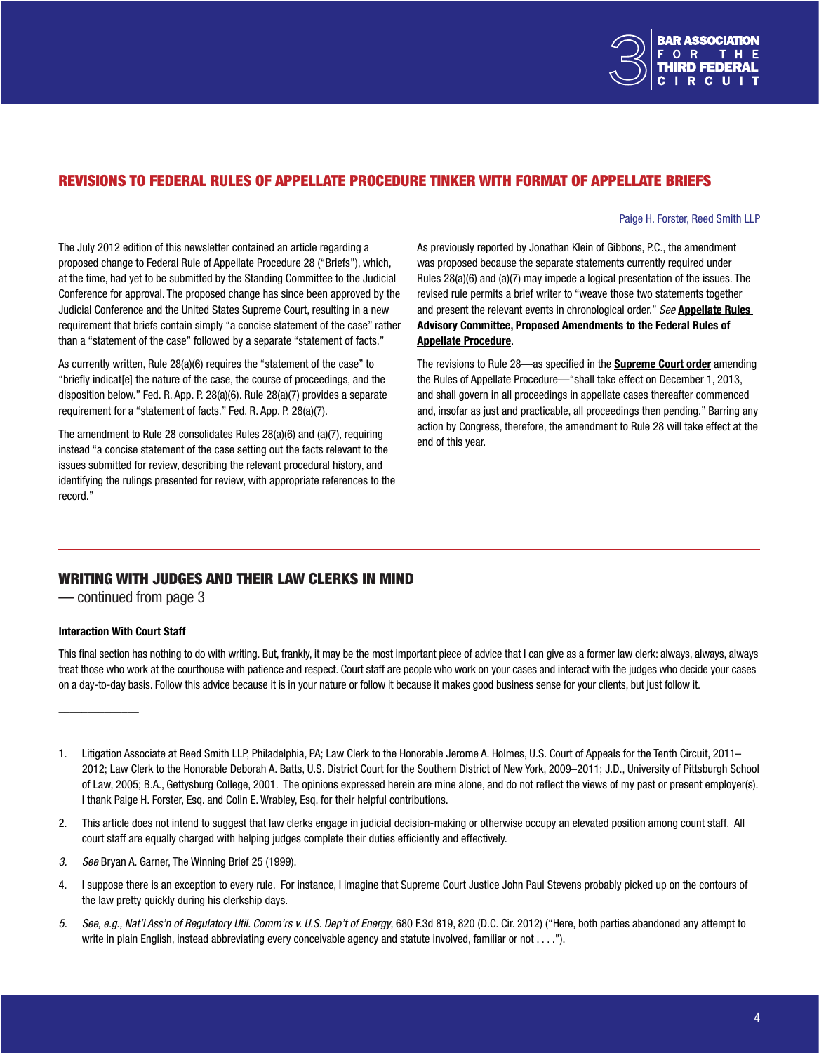

# <span id="page-3-0"></span>REVISIONS TO FEDERAL RULES OF APPELLATE PROCEDURE TINKER WITH FORMAT OF APPELLATE BRIEFS

Paige H. Forster, Reed Smith LLP

The July 2012 edition of this newsletter contained an article regarding a proposed change to Federal Rule of Appellate Procedure 28 ("Briefs"), which, at the time, had yet to be submitted by the Standing Committee to the Judicial Conference for approval. The proposed change has since been approved by the Judicial Conference and the United States Supreme Court, resulting in a new requirement that briefs contain simply "a concise statement of the case" rather than a "statement of the case" followed by a separate "statement of facts."

As currently written, Rule 28(a)(6) requires the "statement of the case" to "briefly indicat[e] the nature of the case, the course of proceedings, and the disposition below." Fed. R. App. P. 28(a)(6). Rule 28(a)(7) provides a separate requirement for a "statement of facts." Fed. R. App. P. 28(a)(7).

The amendment to Rule 28 consolidates Rules 28(a)(6) and (a)(7), requiring instead "a concise statement of the case setting out the facts relevant to the issues submitted for review, describing the relevant procedural history, and identifying the rulings presented for review, with appropriate references to the record."

As previously reported by Jonathan Klein of Gibbons, P.C., the amendment was proposed because the separate statements currently required under Rules 28(a)(6) and (a)(7) may impede a logical presentation of the issues. The revised rule permits a brief writer to "weave those two statements together and present the relevant events in chronological order." *See* [Appellate Rules](http://www.uscourts.gov/uscourts/RulesAndPolicies/rules/Publication%20Aug%202011/AP_May_2011.pdf)  [Advisory Committee, Proposed Amendments to the Federal Rules of](http://www.uscourts.gov/uscourts/RulesAndPolicies/rules/Publication%20Aug%202011/AP_May_2011.pdf)  [Appellate Procedure](http://www.uscourts.gov/uscourts/RulesAndPolicies/rules/Publication%20Aug%202011/AP_May_2011.pdf).

The revisions to Rule 28—as specified in the **[Supreme Cour](http://www.supremecourt.gov/orders/courtorders/frap13_k537.pdf)t order** amending the Rules of Appellate Procedure—"shall take effect on December 1, 2013, and shall govern in all proceedings in appellate cases thereafter commenced and, insofar as just and practicable, all proceedings then pending." Barring any action by Congress, therefore, the amendment to Rule 28 will take effect at the end of this year.

# WRITING WITH JUDGES AND THEIR LAW CLERKS IN MIND

— continued from page 3

### Interaction With Court Staff

\_\_\_\_\_\_\_\_\_\_\_\_\_\_

This final section has nothing to do with writing. But, frankly, it may be the most important piece of advice that I can give as a former law clerk: always, always, always treat those who work at the courthouse with patience and respect. Court staff are people who work on your cases and interact with the judges who decide your cases on a day-to-day basis. Follow this advice because it is in your nature or follow it because it makes good business sense for your clients, but just follow it.

- 2. This article does not intend to suggest that law clerks engage in judicial decision-making or otherwise occupy an elevated position among count staff. All court staff are equally charged with helping judges complete their duties efficiently and effectively.
- *3. See* Bryan A. Garner, The Winning Brief 25 (1999).
- 4. I suppose there is an exception to every rule. For instance, I imagine that Supreme Court Justice John Paul Stevens probably picked up on the contours of the law pretty quickly during his clerkship days.
- *5. See, e.g., Nat'l Ass'n of Regulatory Util. Comm'rs v. U.S. Dep't of Energy*, 680 F.3d 819, 820 (D.C. Cir. 2012) ("Here, both parties abandoned any attempt to write in plain English, instead abbreviating every conceivable agency and statute involved, familiar or not . . . .").

<sup>1.</sup> Litigation Associate at Reed Smith LLP, Philadelphia, PA; Law Clerk to the Honorable Jerome A. Holmes, U.S. Court of Appeals for the Tenth Circuit, 2011– 2012; Law Clerk to the Honorable Deborah A. Batts, U.S. District Court for the Southern District of New York, 2009–2011; J.D., University of Pittsburgh School of Law, 2005; B.A., Gettysburg College, 2001. The opinions expressed herein are mine alone, and do not reflect the views of my past or present employer(s). I thank Paige H. Forster, Esq. and Colin E. Wrabley, Esq. for their helpful contributions.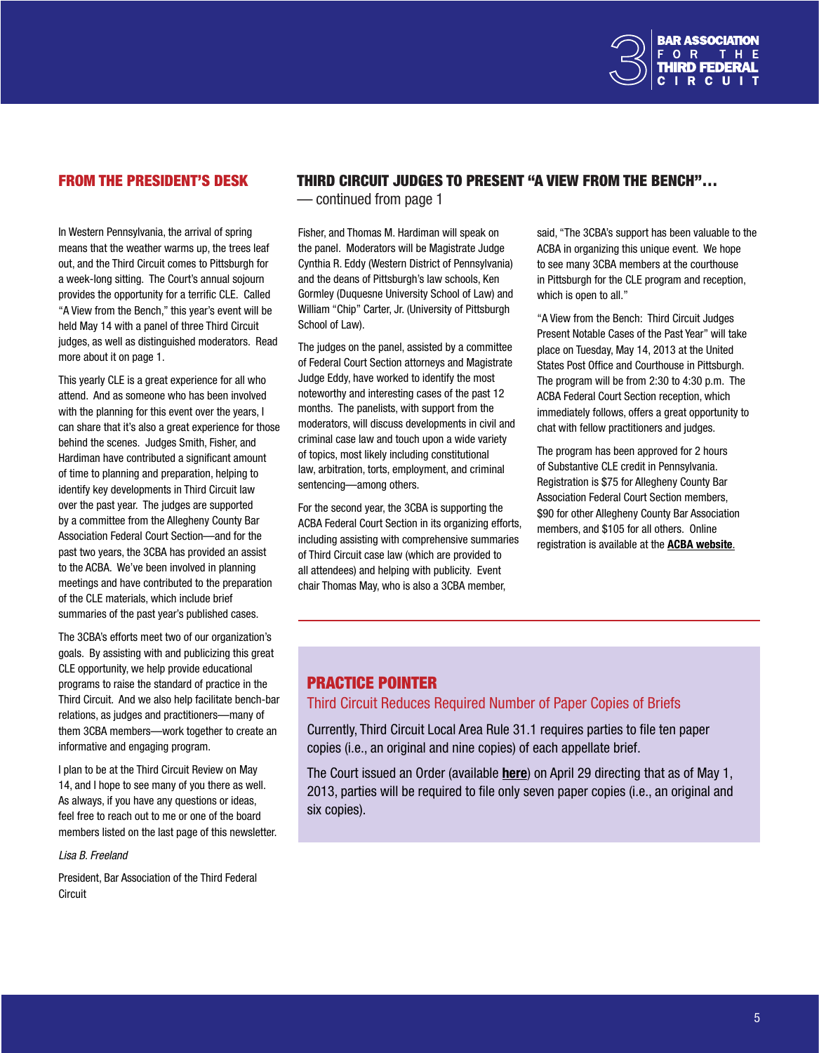

# <span id="page-4-0"></span>FROM THE PRESIDENT'S DESK

In Western Pennsylvania, the arrival of spring means that the weather warms up, the trees leaf out, and the Third Circuit comes to Pittsburgh for a week-long sitting. The Court's annual sojourn provides the opportunity for a terrific CLE. Called "A View from the Bench," this year's event will be held May 14 with a panel of three Third Circuit judges, as well as distinguished moderators. Read more about it on page 1.

This yearly CLE is a great experience for all who attend. And as someone who has been involved with the planning for this event over the years. I can share that it's also a great experience for those behind the scenes. Judges Smith, Fisher, and Hardiman have contributed a significant amount of time to planning and preparation, helping to identify key developments in Third Circuit law over the past year. The judges are supported by a committee from the Allegheny County Bar Association Federal Court Section—and for the past two years, the 3CBA has provided an assist to the ACBA. We've been involved in planning meetings and have contributed to the preparation of the CLE materials, which include brief summaries of the past year's published cases.

The 3CBA's efforts meet two of our organization's goals. By assisting with and publicizing this great CLE opportunity, we help provide educational programs to raise the standard of practice in the Third Circuit. And we also help facilitate bench-bar relations, as judges and practitioners—many of them 3CBA members—work together to create an informative and engaging program.

I plan to be at the Third Circuit Review on May 14, and I hope to see many of you there as well. As always, if you have any questions or ideas, feel free to reach out to me or one of the board members listed on the last page of this newsletter.

*Lisa B. Freeland*

President, Bar Association of the Third Federal **Circuit** 

# THIRD CIRCUIT JUDGES TO PRESENT "A VIEW FROM THE BENCH"…

— continued from page 1

Fisher, and Thomas M. Hardiman will speak on the panel. Moderators will be Magistrate Judge Cynthia R. Eddy (Western District of Pennsylvania) and the deans of Pittsburgh's law schools, Ken Gormley (Duquesne University School of Law) and William "Chip" Carter, Jr. (University of Pittsburgh School of Law).

The judges on the panel, assisted by a committee of Federal Court Section attorneys and Magistrate Judge Eddy, have worked to identify the most noteworthy and interesting cases of the past 12 months. The panelists, with support from the moderators, will discuss developments in civil and criminal case law and touch upon a wide variety of topics, most likely including constitutional law, arbitration, torts, employment, and criminal sentencing—among others.

For the second year, the 3CBA is supporting the ACBA Federal Court Section in its organizing efforts, including assisting with comprehensive summaries of Third Circuit case law (which are provided to all attendees) and helping with publicity. Event chair Thomas May, who is also a 3CBA member,

said, "The 3CBA's support has been valuable to the ACBA in organizing this unique event. We hope to see many 3CBA members at the courthouse in Pittsburgh for the CLE program and reception, which is open to all."

"A View from the Bench: Third Circuit Judges Present Notable Cases of the Past Year" will take place on Tuesday, May 14, 2013 at the United States Post Office and Courthouse in Pittsburgh. The program will be from 2:30 to 4:30 p.m. The ACBA Federal Court Section reception, which immediately follows, offers a great opportunity to chat with fellow practitioners and judges.

The program has been approved for 2 hours of Substantive CLE credit in Pennsylvania. Registration is \$75 for Allegheny County Bar Association Federal Court Section members, \$90 for other Allegheny County Bar Association members, and \$105 for all others. Online registration is available at the **[ACBA website](https://www.acba.org/lrxweb/clereg1.lrx).** 

# PRACTICE POINTER

# Third Circuit Reduces Required Number of Paper Copies of Briefs

Currently, Third Circuit Local Area Rule 31.1 requires parties to file ten paper copies (i.e., an original and nine copies) of each appellate brief.

The Court issued an Order (available [here](http://www.ca3.uscourts.gov/briefs_fewer_order.pdf)) on April 29 directing that as of May 1, 2013, parties will be required to file only seven paper copies (i.e., an original and six copies).